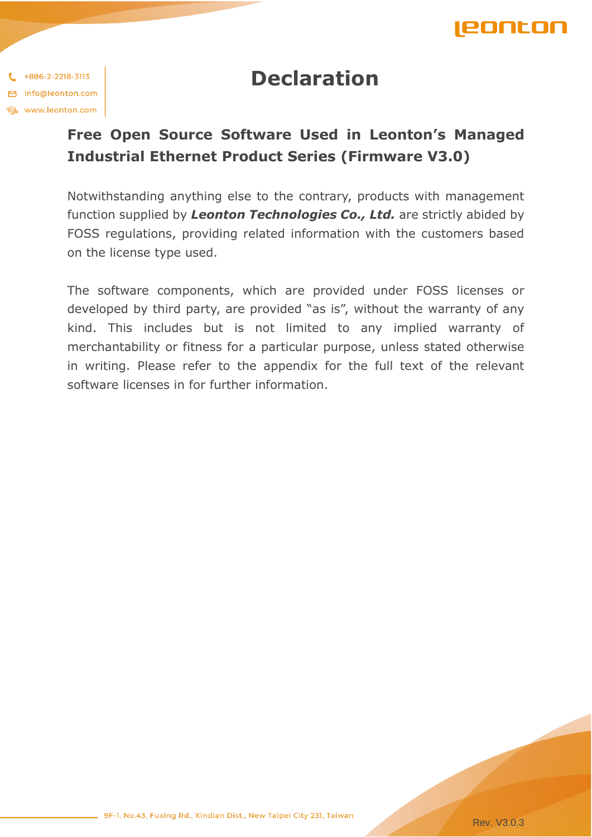

## **Declaration**

 $1 + 886 - 2 - 2218 - 3113$ □ info@leonton.com **Et www.leonton.com** 

## **Free Open Source Software Used in Leonton's Managed Industrial Ethernet Product Series (Firmware V3.0)**

Notwithstanding anything else to the contrary, products with management function supplied by *Leonton Technologies Co., Ltd.* are strictly abided by FOSS regulations, providing related information with the customers based on the license type used.

The software components, which are provided under FOSS licenses or developed by third party, are provided "as is", without the warranty of any kind. This includes but is not limited to any implied warranty of merchantability or fitness for a particular purpose, unless stated otherwise in writing. Please refer to the appendix for the full text of the relevant software licenses in for further information.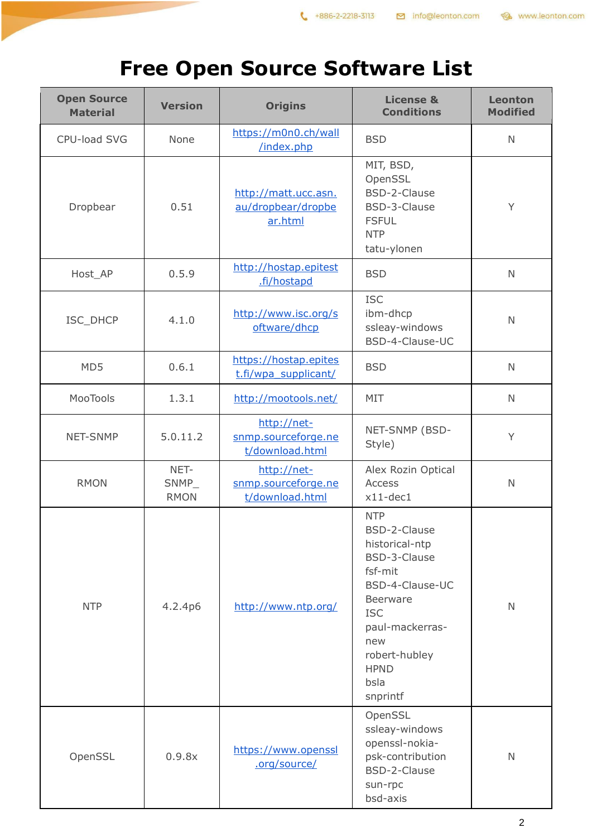## **Free Open Source Software List**

| <b>Open Source</b><br><b>Material</b> | <b>Version</b>               | <b>Origins</b>                                        | <b>License &amp;</b><br><b>Conditions</b>                                                                                                                                                                 | <b>Leonton</b><br><b>Modified</b> |
|---------------------------------------|------------------------------|-------------------------------------------------------|-----------------------------------------------------------------------------------------------------------------------------------------------------------------------------------------------------------|-----------------------------------|
| CPU-load SVG                          | None                         | https://m0n0.ch/wall<br>/index.php                    | <b>BSD</b>                                                                                                                                                                                                | $\mathbb N$                       |
| Dropbear                              | 0.51                         | http://matt.ucc.asn.<br>au/dropbear/dropbe<br>ar.html | MIT, BSD,<br>OpenSSL<br>BSD-2-Clause<br>BSD-3-Clause<br><b>FSFUL</b><br><b>NTP</b><br>tatu-ylonen                                                                                                         | Y                                 |
| Host_AP                               | 0.5.9                        | http://hostap.epitest<br>.fi/hostapd                  | <b>BSD</b>                                                                                                                                                                                                | $\mathsf{N}$                      |
| ISC_DHCP                              | 4.1.0                        | http://www.isc.org/s<br>oftware/dhcp                  | <b>ISC</b><br>ibm-dhcp<br>ssleay-windows<br>BSD-4-Clause-UC                                                                                                                                               | N                                 |
| MD5                                   | 0.6.1                        | https://hostap.epites<br>t.fi/wpa supplicant/         | <b>BSD</b>                                                                                                                                                                                                | $\mathbb N$                       |
| MooTools                              | 1.3.1                        | http://mootools.net/                                  | MIT                                                                                                                                                                                                       | $\mathsf{N}$                      |
| NET-SNMP                              | 5.0.11.2                     | http://net-<br>snmp.sourceforge.ne<br>t/download.html | NET-SNMP (BSD-<br>Style)                                                                                                                                                                                  | Y                                 |
| <b>RMON</b>                           | NET-<br>SNMP_<br><b>RMON</b> | http://net-<br>snmp.sourceforge.ne<br>t/download.html | Alex Rozin Optical<br>Access<br>$x11-dec1$                                                                                                                                                                | $\mathbb N$                       |
| <b>NTP</b>                            | 4.2.4p6                      | http://www.ntp.org/                                   | <b>NTP</b><br>BSD-2-Clause<br>historical-ntp<br>BSD-3-Clause<br>fsf-mit<br>BSD-4-Clause-UC<br><b>Beerware</b><br><b>ISC</b><br>paul-mackerras-<br>new<br>robert-hubley<br><b>HPND</b><br>bsla<br>snprintf | N                                 |
| OpenSSL                               | 0.9.8x                       | https://www.openssl<br>.org/source/                   | OpenSSL<br>ssleay-windows<br>openssl-nokia-<br>psk-contribution<br>BSD-2-Clause<br>sun-rpc<br>bsd-axis                                                                                                    | $\mathsf{N}$                      |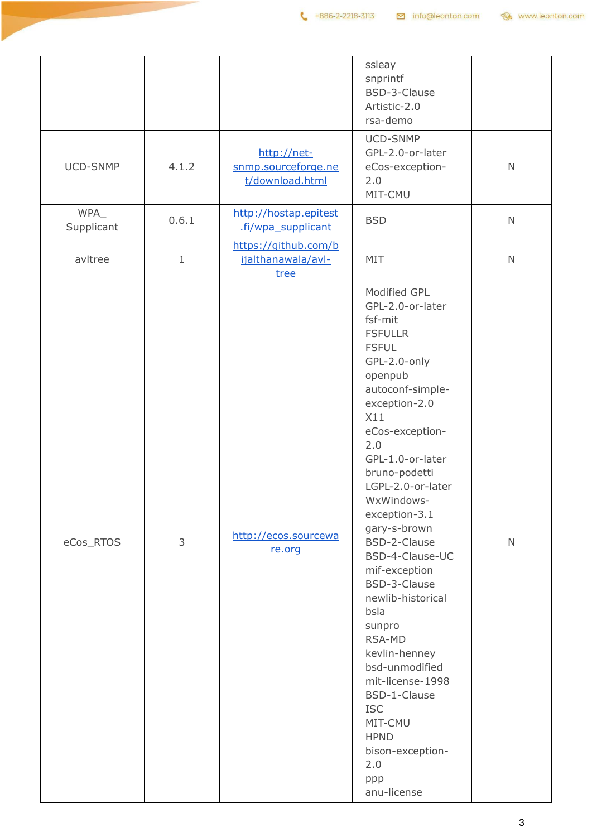|                    |       |                                                       | ssleay<br>snprintf<br>BSD-3-Clause<br>Artistic-2.0<br>rsa-demo                                                                                                                                                                                                                                                                                                                                                                                                                                                                                                               |              |
|--------------------|-------|-------------------------------------------------------|------------------------------------------------------------------------------------------------------------------------------------------------------------------------------------------------------------------------------------------------------------------------------------------------------------------------------------------------------------------------------------------------------------------------------------------------------------------------------------------------------------------------------------------------------------------------------|--------------|
| UCD-SNMP           | 4.1.2 | http://net-<br>snmp.sourceforge.ne<br>t/download.html | UCD-SNMP<br>GPL-2.0-or-later<br>eCos-exception-<br>2.0<br>MIT-CMU                                                                                                                                                                                                                                                                                                                                                                                                                                                                                                            | $\mathsf{N}$ |
| WPA_<br>Supplicant | 0.6.1 | http://hostap.epitest<br>.fi/wpa supplicant           | <b>BSD</b>                                                                                                                                                                                                                                                                                                                                                                                                                                                                                                                                                                   | $\mathsf{N}$ |
| avltree            | $1\,$ | https://github.com/b<br>ijalthanawala/avl-<br>tree    | MIT                                                                                                                                                                                                                                                                                                                                                                                                                                                                                                                                                                          | $\mathsf N$  |
| eCos_RTOS          | 3     | http://ecos.sourcewa<br>re.org                        | Modified GPL<br>GPL-2.0-or-later<br>fsf-mit<br><b>FSFULLR</b><br><b>FSFUL</b><br>GPL-2.0-only<br>openpub<br>autoconf-simple-<br>exception-2.0<br>X11<br>eCos-exception-<br>2.0<br>GPL-1.0-or-later<br>bruno-podetti<br>LGPL-2.0-or-later<br>WxWindows-<br>exception-3.1<br>gary-s-brown<br>BSD-2-Clause<br>BSD-4-Clause-UC<br>mif-exception<br>BSD-3-Clause<br>newlib-historical<br>bsla<br>sunpro<br>RSA-MD<br>kevlin-henney<br>bsd-unmodified<br>mit-license-1998<br>BSD-1-Clause<br><b>ISC</b><br>MIT-CMU<br><b>HPND</b><br>bison-exception-<br>2.0<br>ppp<br>anu-license | $\mathsf{N}$ |